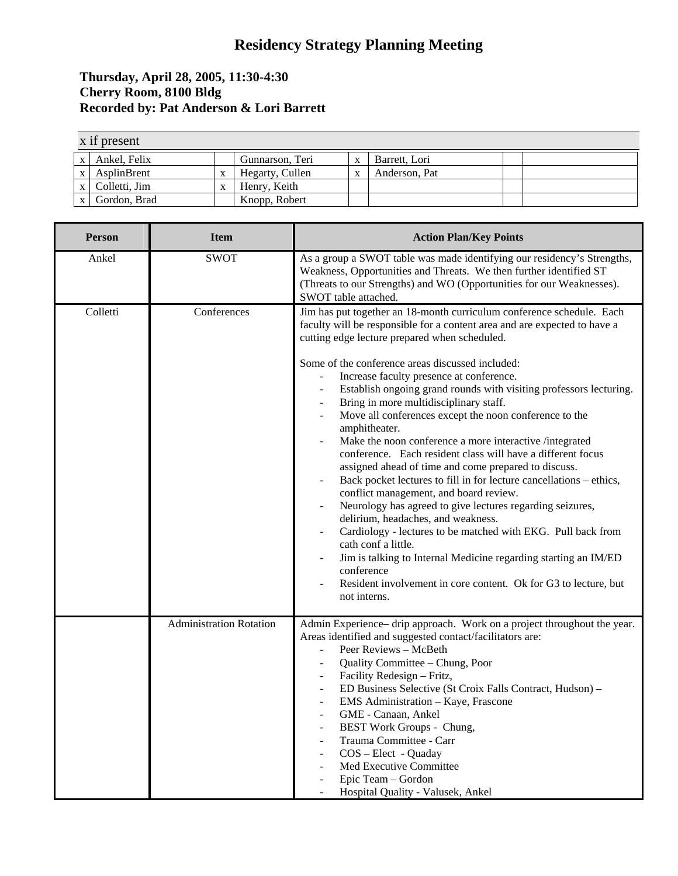## **Residency Strategy Planning Meeting**

## **Thursday, April 28, 2005, 11:30-4:30 Cherry Room, 8100 Bldg Recorded by: Pat Anderson & Lori Barrett**

|              | x if present    |   |                 |   |               |  |  |  |  |
|--------------|-----------------|---|-----------------|---|---------------|--|--|--|--|
| $\mathbf{x}$ | Ankel. Felix    |   | Gunnarson, Teri | X | Barrett, Lori |  |  |  |  |
| $\mathbf{x}$ | AsplinBrent     | X | Hegarty, Cullen | v | Anderson, Pat |  |  |  |  |
|              | x Colletti, Jim | X | Henry, Keith    |   |               |  |  |  |  |
| $\mathbf{x}$ | Gordon, Brad    |   | Knopp, Robert   |   |               |  |  |  |  |

| <b>Person</b> | <b>Item</b>                    | <b>Action Plan/Key Points</b>                                                                                                                                                                                                                                                                                                                                                                                                                                                                                                                                                                                                                                                                                                                                                                                                                                                                                                                                                                                                                                                                                                                                   |  |  |  |
|---------------|--------------------------------|-----------------------------------------------------------------------------------------------------------------------------------------------------------------------------------------------------------------------------------------------------------------------------------------------------------------------------------------------------------------------------------------------------------------------------------------------------------------------------------------------------------------------------------------------------------------------------------------------------------------------------------------------------------------------------------------------------------------------------------------------------------------------------------------------------------------------------------------------------------------------------------------------------------------------------------------------------------------------------------------------------------------------------------------------------------------------------------------------------------------------------------------------------------------|--|--|--|
| Ankel         | <b>SWOT</b>                    | As a group a SWOT table was made identifying our residency's Strengths,<br>Weakness, Opportunities and Threats. We then further identified ST<br>(Threats to our Strengths) and WO (Opportunities for our Weaknesses).<br>SWOT table attached.                                                                                                                                                                                                                                                                                                                                                                                                                                                                                                                                                                                                                                                                                                                                                                                                                                                                                                                  |  |  |  |
| Colletti      | Conferences                    | Jim has put together an 18-month curriculum conference schedule. Each<br>faculty will be responsible for a content area and are expected to have a<br>cutting edge lecture prepared when scheduled.<br>Some of the conference areas discussed included:<br>Increase faculty presence at conference.<br>Establish ongoing grand rounds with visiting professors lecturing.<br>Bring in more multidisciplinary staff.<br>Move all conferences except the noon conference to the<br>amphitheater.<br>Make the noon conference a more interactive /integrated<br>conference. Each resident class will have a different focus<br>assigned ahead of time and come prepared to discuss.<br>Back pocket lectures to fill in for lecture cancellations – ethics,<br>conflict management, and board review.<br>Neurology has agreed to give lectures regarding seizures,<br>delirium, headaches, and weakness.<br>Cardiology - lectures to be matched with EKG. Pull back from<br>cath conf a little.<br>Jim is talking to Internal Medicine regarding starting an IM/ED<br>conference<br>Resident involvement in core content. Ok for G3 to lecture, but<br>not interns. |  |  |  |
|               | <b>Administration Rotation</b> | Admin Experience- drip approach. Work on a project throughout the year.<br>Areas identified and suggested contact/facilitators are:<br>Peer Reviews - McBeth<br>÷,<br>Quality Committee - Chung, Poor<br>Facility Redesign - Fritz,<br>ED Business Selective (St Croix Falls Contract, Hudson) -<br>EMS Administration - Kaye, Frascone<br>GME - Canaan, Ankel<br>BEST Work Groups - Chung,<br>Trauma Committee - Carr<br>COS - Elect - Quaday<br>Med Executive Committee<br>Epic Team - Gordon<br>Hospital Quality - Valusek, Ankel                                                                                                                                                                                                                                                                                                                                                                                                                                                                                                                                                                                                                            |  |  |  |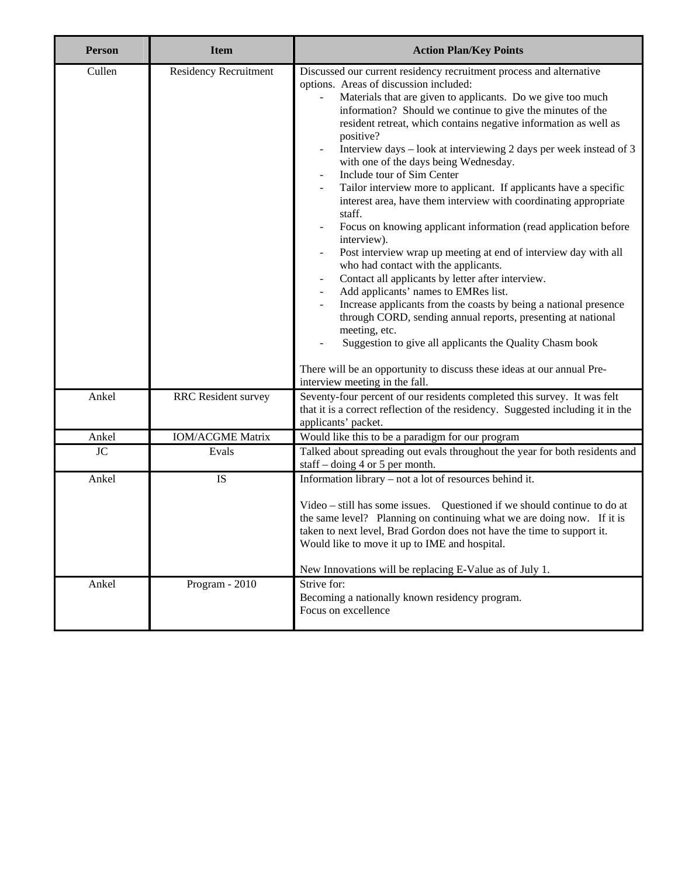| <b>Person</b> | <b>Item</b>                  | <b>Action Plan/Key Points</b>                                                                                                                                                                                                                                                                                                                                                                                                                                                                                                                                                                                                                                                                                                                                                                                                                                                                                                                                                                                                                                                                                                                                                                                                                      |
|---------------|------------------------------|----------------------------------------------------------------------------------------------------------------------------------------------------------------------------------------------------------------------------------------------------------------------------------------------------------------------------------------------------------------------------------------------------------------------------------------------------------------------------------------------------------------------------------------------------------------------------------------------------------------------------------------------------------------------------------------------------------------------------------------------------------------------------------------------------------------------------------------------------------------------------------------------------------------------------------------------------------------------------------------------------------------------------------------------------------------------------------------------------------------------------------------------------------------------------------------------------------------------------------------------------|
| Cullen        | <b>Residency Recruitment</b> | Discussed our current residency recruitment process and alternative<br>options. Areas of discussion included:<br>Materials that are given to applicants. Do we give too much<br>information? Should we continue to give the minutes of the<br>resident retreat, which contains negative information as well as<br>positive?<br>Interview days - look at interviewing 2 days per week instead of 3<br>with one of the days being Wednesday.<br>Include tour of Sim Center<br>Tailor interview more to applicant. If applicants have a specific<br>interest area, have them interview with coordinating appropriate<br>staff.<br>Focus on knowing applicant information (read application before<br>interview).<br>Post interview wrap up meeting at end of interview day with all<br>who had contact with the applicants.<br>Contact all applicants by letter after interview.<br>Add applicants' names to EMRes list.<br>Increase applicants from the coasts by being a national presence<br>through CORD, sending annual reports, presenting at national<br>meeting, etc.<br>Suggestion to give all applicants the Quality Chasm book<br>There will be an opportunity to discuss these ideas at our annual Pre-<br>interview meeting in the fall. |
| Ankel         | <b>RRC</b> Resident survey   | Seventy-four percent of our residents completed this survey. It was felt<br>that it is a correct reflection of the residency. Suggested including it in the<br>applicants' packet.                                                                                                                                                                                                                                                                                                                                                                                                                                                                                                                                                                                                                                                                                                                                                                                                                                                                                                                                                                                                                                                                 |
| Ankel         | <b>IOM/ACGME Matrix</b>      | Would like this to be a paradigm for our program                                                                                                                                                                                                                                                                                                                                                                                                                                                                                                                                                                                                                                                                                                                                                                                                                                                                                                                                                                                                                                                                                                                                                                                                   |
| $\rm JC$      | Evals                        | Talked about spreading out evals throughout the year for both residents and<br>staff $-$ doing 4 or 5 per month.                                                                                                                                                                                                                                                                                                                                                                                                                                                                                                                                                                                                                                                                                                                                                                                                                                                                                                                                                                                                                                                                                                                                   |
| Ankel         | IS                           | Information library - not a lot of resources behind it.<br>Video – still has some issues. Questioned if we should continue to do at<br>the same level? Planning on continuing what we are doing now. If it is<br>taken to next level, Brad Gordon does not have the time to support it.<br>Would like to move it up to IME and hospital.<br>New Innovations will be replacing E-Value as of July 1.                                                                                                                                                                                                                                                                                                                                                                                                                                                                                                                                                                                                                                                                                                                                                                                                                                                |
| Ankel         | Program - 2010               | Strive for:<br>Becoming a nationally known residency program.<br>Focus on excellence                                                                                                                                                                                                                                                                                                                                                                                                                                                                                                                                                                                                                                                                                                                                                                                                                                                                                                                                                                                                                                                                                                                                                               |